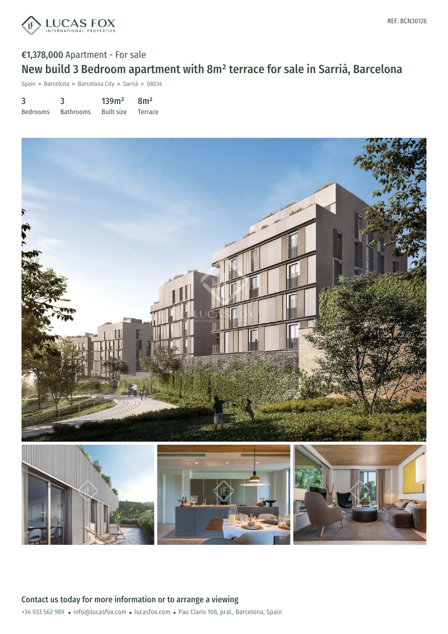

## €1,378,000 Apartment - For sale New build 3 Bedroom apartment with 8m² terrace for sale in Sarrià, Barcelona

Spain » Barcelona » Barcelona City » Sarrià » 08034

| 3               | 3                | 139m <sup>2</sup> | 8m <sup>2</sup> |
|-----------------|------------------|-------------------|-----------------|
| <b>Bedrooms</b> | <b>Bathrooms</b> | Built size        | Terrace         |

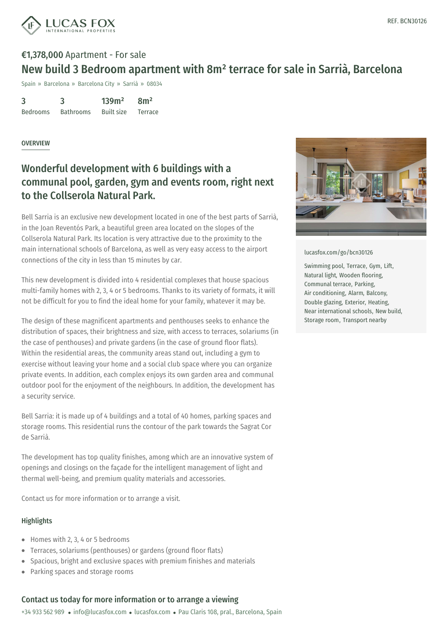

# €1,378,000 Apartment - For sale New build 3 Bedroom apartment with 8m² terrace for sale in Sarrià, Barcelona

Spain » Barcelona » Barcelona City » Sarrià » 08034

3 Bedrooms 3 Bathrooms 139m² Built size 8m² Terrace

### **OVERVIEW**

### Wonderful development with 6 buildings with a communal pool, garden, gym and events room, right next to the Collserola Natural Park.

Bell Sarria is an exclusive new development located in one of the best parts of Sarrià, in the Joan Reventós Park, a beautiful green area located on the slopes of the Collserola Natural Park. Its location is very attractive due to the proximity to the main international schools of Barcelona, as well as very easy access to the airport connections of the city in less than 15 minutes by car.

This new development is divided into 4 residential complexes that house spacious multi-family homes with 2, 3, 4 or 5 bedrooms. Thanks to its variety of formats, it will not be difficult for you to find the ideal home for your family, whatever it may be.

The design of these magnificent apartments and penthouses seeks to enhance the distribution of spaces, their brightness and size, with access to terraces, solariums (in the case of penthouses) and private gardens (in the case of ground floor flats). Within the residential areas, the community areas stand out, including a gym to exercise without leaving your home and a social club space where you can organize private events. In addition, each complex enjoys its own garden area and communal outdoor pool for the enjoyment of the neighbours. In addition, the development has a security service.

Bell Sarria: it is made up of 4 buildings and a total of 40 homes, parking spaces and storage rooms. This residential runs the contour of the park towards the Sagrat Cor de Sarrià.

The development has top quality finishes, among which are an innovative system of openings and closings on the façade for the intelligent management of light and thermal well-being, and [premium](mailto:info@lucasfox.com) quality [material](https://www.lucasfox.com)s and accessories.

Contact us for more information or to arrange a visit.

### **Highlights**

- Homes with 2, 3, 4 or 5 bedrooms
- Terraces, solariums (penthouses) or gardens (ground floor flats)  $\bullet$  .
- Spacious, bright and exclusive spaces with premium finishes and materials
- Parking spaces and storage rooms

### Contact us today for more information or to arrange a viewing

+34 933 562 989 · info@lucasfox.com · lucasfox.com · Pau Claris 108, pral., Barcelona, Spain



[lucasfox.com/go/bcn30126](https://www.lucasfox.com/go/bcn30126)

Swimming pool, Terrace, Gym, Lift, Natural light, Wooden flooring, Communal terrace, Parking, Air conditioning, Alarm, Balcony, Double glazing, Exterior, Heating, Near international schools, New build, Storage room, Transport nearby